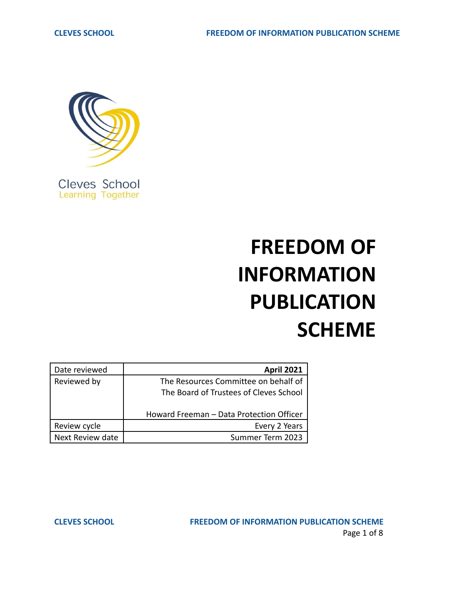

# **FREEDOM OF INFORMATION PUBLICATION SCHEME**

| Date reviewed    | <b>April 2021</b>                                                              |
|------------------|--------------------------------------------------------------------------------|
| Reviewed by      | The Resources Committee on behalf of<br>The Board of Trustees of Cleves School |
|                  | Howard Freeman - Data Protection Officer                                       |
| Review cycle     | Every 2 Years                                                                  |
| Next Review date | Summer Term 2023                                                               |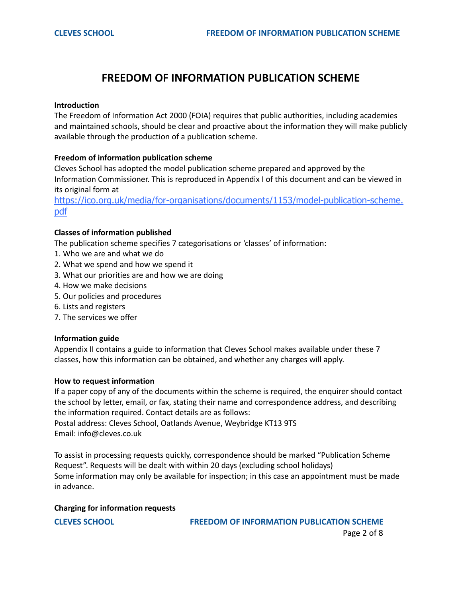# **FREEDOM OF INFORMATION PUBLICATION SCHEME**

#### **Introduction**

The Freedom of Information Act 2000 (FOIA) requires that public authorities, including academies and maintained schools, should be clear and proactive about the information they will make publicly available through the production of a publication scheme.

#### **Freedom of information publication scheme**

Cleves School has adopted the model publication scheme prepared and approved by the Information Commissioner. This is reproduced in Appendix I of this document and can be viewed in its original form at

[https://ico.org.uk/media/for-organisations/documents/1153/model-publication-scheme.](https://ico.org.uk/media/for-organisations/documents/1153/model-publication-scheme.pdf) [pdf](https://ico.org.uk/media/for-organisations/documents/1153/model-publication-scheme.pdf)

#### **Classes of information published**

The publication scheme specifies 7 categorisations or 'classes' of information:

- 1. Who we are and what we do
- 2. What we spend and how we spend it
- 3. What our priorities are and how we are doing
- 4. How we make decisions
- 5. Our policies and procedures
- 6. Lists and registers
- 7. The services we offer

#### **Information guide**

Appendix II contains a guide to information that Cleves School makes available under these 7 classes, how this information can be obtained, and whether any charges will apply.

#### **How to request information**

If a paper copy of any of the documents within the scheme is required, the enquirer should contact the school by letter, email, or fax, stating their name and correspondence address, and describing the information required. Contact details are as follows:

Postal address: Cleves School, Oatlands Avenue, Weybridge KT13 9TS Email: info@cleves.co.uk

To assist in processing requests quickly, correspondence should be marked "Publication Scheme Request". Requests will be dealt with within 20 days (excluding school holidays) Some information may only be available for inspection; in this case an appointment must be made in advance.

#### **Charging for information requests**

**CLEVES SCHOOL FREEDOM OF INFORMATION PUBLICATION SCHEME** Page 2 of 8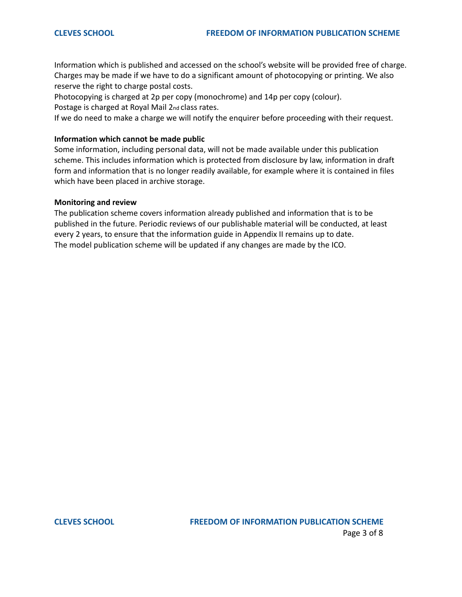Information which is published and accessed on the school's website will be provided free of charge. Charges may be made if we have to do a significant amount of photocopying or printing. We also reserve the right to charge postal costs.

Photocopying is charged at 2p per copy (monochrome) and 14p per copy (colour).

Postage is charged at Royal Mail 2nd class rates.

If we do need to make a charge we will notify the enquirer before proceeding with their request.

### **Information which cannot be made public**

Some information, including personal data, will not be made available under this publication scheme. This includes information which is protected from disclosure by law, information in draft form and information that is no longer readily available, for example where it is contained in files which have been placed in archive storage.

#### **Monitoring and review**

The publication scheme covers information already published and information that is to be published in the future. Periodic reviews of our publishable material will be conducted, at least every 2 years, to ensure that the information guide in Appendix II remains up to date. The model publication scheme will be updated if any changes are made by the ICO.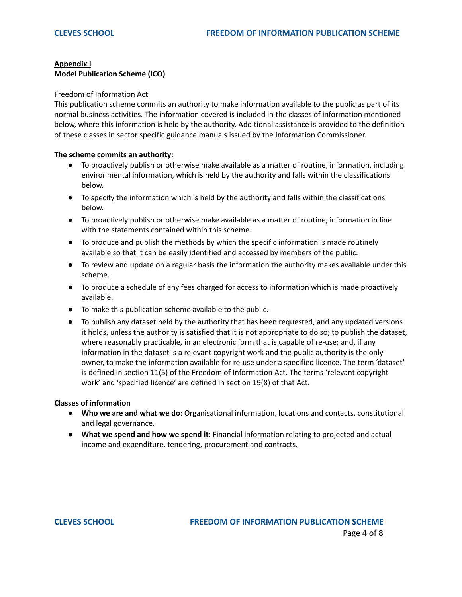### **Appendix I Model Publication Scheme (ICO)**

#### Freedom of Information Act

This publication scheme commits an authority to make information available to the public as part of its normal business activities. The information covered is included in the classes of information mentioned below, where this information is held by the authority. Additional assistance is provided to the definition of these classes in sector specific guidance manuals issued by the Information Commissioner.

#### **The scheme commits an authority:**

- To proactively publish or otherwise make available as a matter of routine, information, including environmental information, which is held by the authority and falls within the classifications below.
- To specify the information which is held by the authority and falls within the classifications below.
- To proactively publish or otherwise make available as a matter of routine, information in line with the statements contained within this scheme.
- To produce and publish the methods by which the specific information is made routinely available so that it can be easily identified and accessed by members of the public.
- To review and update on a regular basis the information the authority makes available under this scheme.
- To produce a schedule of any fees charged for access to information which is made proactively available.
- To make this publication scheme available to the public.
- To publish any dataset held by the authority that has been requested, and any updated versions it holds, unless the authority is satisfied that it is not appropriate to do so; to publish the dataset, where reasonably practicable, in an electronic form that is capable of re-use; and, if any information in the dataset is a relevant copyright work and the public authority is the only owner, to make the information available for re-use under a specified licence. The term 'dataset' is defined in section 11(5) of the Freedom of Information Act. The terms 'relevant copyright work' and 'specified licence' are defined in section 19(8) of that Act.

#### **Classes of information**

- **Who we are and what we do**: Organisational information, locations and contacts, constitutional and legal governance.
- **What we spend and how we spend it**: Financial information relating to projected and actual income and expenditure, tendering, procurement and contracts.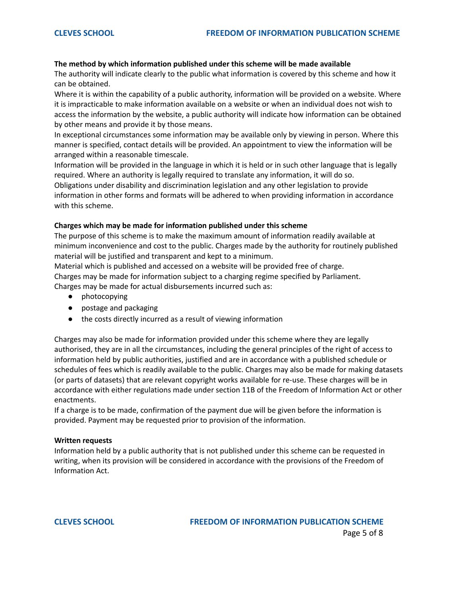#### **The method by which information published under this scheme will be made available**

The authority will indicate clearly to the public what information is covered by this scheme and how it can be obtained.

Where it is within the capability of a public authority, information will be provided on a website. Where it is impracticable to make information available on a website or when an individual does not wish to access the information by the website, a public authority will indicate how information can be obtained by other means and provide it by those means.

In exceptional circumstances some information may be available only by viewing in person. Where this manner is specified, contact details will be provided. An appointment to view the information will be arranged within a reasonable timescale.

Information will be provided in the language in which it is held or in such other language that is legally required. Where an authority is legally required to translate any information, it will do so. Obligations under disability and discrimination legislation and any other legislation to provide information in other forms and formats will be adhered to when providing information in accordance with this scheme.

#### **Charges which may be made for information published under this scheme**

The purpose of this scheme is to make the maximum amount of information readily available at minimum inconvenience and cost to the public. Charges made by the authority for routinely published material will be justified and transparent and kept to a minimum.

Material which is published and accessed on a website will be provided free of charge.

Charges may be made for information subject to a charging regime specified by Parliament.

Charges may be made for actual disbursements incurred such as:

- photocopying
- postage and packaging
- the costs directly incurred as a result of viewing information

Charges may also be made for information provided under this scheme where they are legally authorised, they are in all the circumstances, including the general principles of the right of access to information held by public authorities, justified and are in accordance with a published schedule or schedules of fees which is readily available to the public. Charges may also be made for making datasets (or parts of datasets) that are relevant copyright works available for re-use. These charges will be in accordance with either regulations made under section 11B of the Freedom of Information Act or other enactments.

If a charge is to be made, confirmation of the payment due will be given before the information is provided. Payment may be requested prior to provision of the information.

#### **Written requests**

Information held by a public authority that is not published under this scheme can be requested in writing, when its provision will be considered in accordance with the provisions of the Freedom of Information Act.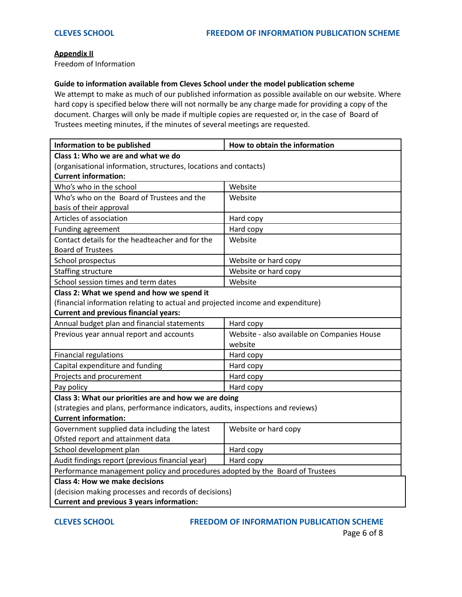#### **Appendix II**

Freedom of Information

#### **Guide to information available from Cleves School under the model publication scheme**

We attempt to make as much of our published information as possible available on our website. Where hard copy is specified below there will not normally be any charge made for providing a copy of the document. Charges will only be made if multiple copies are requested or, in the case of Board of Trustees meeting minutes, if the minutes of several meetings are requested.

| Information to be published                                                     | How to obtain the information               |  |  |  |
|---------------------------------------------------------------------------------|---------------------------------------------|--|--|--|
| Class 1: Who we are and what we do                                              |                                             |  |  |  |
| (organisational information, structures, locations and contacts)                |                                             |  |  |  |
| <b>Current information:</b>                                                     |                                             |  |  |  |
| Who's who in the school                                                         | Website                                     |  |  |  |
| Who's who on the Board of Trustees and the                                      | Website                                     |  |  |  |
| basis of their approval                                                         |                                             |  |  |  |
| Articles of association                                                         | Hard copy                                   |  |  |  |
| Funding agreement                                                               | Hard copy                                   |  |  |  |
| Contact details for the headteacher and for the                                 | Website                                     |  |  |  |
| <b>Board of Trustees</b>                                                        |                                             |  |  |  |
| School prospectus                                                               | Website or hard copy                        |  |  |  |
| Staffing structure                                                              | Website or hard copy                        |  |  |  |
| School session times and term dates                                             | Website                                     |  |  |  |
| Class 2: What we spend and how we spend it                                      |                                             |  |  |  |
| (financial information relating to actual and projected income and expenditure) |                                             |  |  |  |
| <b>Current and previous financial years:</b>                                    |                                             |  |  |  |
| Annual budget plan and financial statements                                     | Hard copy                                   |  |  |  |
| Previous year annual report and accounts                                        | Website - also available on Companies House |  |  |  |
|                                                                                 | website                                     |  |  |  |
| Financial regulations                                                           | Hard copy                                   |  |  |  |
| Capital expenditure and funding                                                 | Hard copy                                   |  |  |  |
| Projects and procurement                                                        | Hard copy                                   |  |  |  |
| Pay policy                                                                      | Hard copy                                   |  |  |  |
| Class 3: What our priorities are and how we are doing                           |                                             |  |  |  |
| (strategies and plans, performance indicators, audits, inspections and reviews) |                                             |  |  |  |
| <b>Current information:</b>                                                     |                                             |  |  |  |
| Government supplied data including the latest                                   | Website or hard copy                        |  |  |  |
| Ofsted report and attainment data                                               |                                             |  |  |  |
| School development plan                                                         | Hard copy                                   |  |  |  |
| Audit findings report (previous financial year)                                 | Hard copy                                   |  |  |  |
| Performance management policy and procedures adopted by the Board of Trustees   |                                             |  |  |  |
| <b>Class 4: How we make decisions</b>                                           |                                             |  |  |  |
| (decision making processes and records of decisions)                            |                                             |  |  |  |
| <b>Current and previous 3 years information:</b>                                |                                             |  |  |  |

## **CLEVES SCHOOL FREEDOM OF INFORMATION PUBLICATION SCHEME**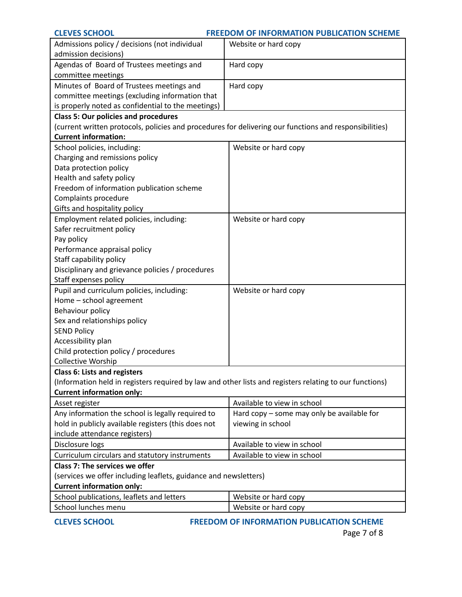| <b>CLEVES SCHOOL</b><br><b>FREEDOM OF INFORMATION PUBLICATION SCHEME</b>                                                                    |                                              |  |  |  |
|---------------------------------------------------------------------------------------------------------------------------------------------|----------------------------------------------|--|--|--|
| Admissions policy / decisions (not individual<br>admission decisions)                                                                       | Website or hard copy                         |  |  |  |
| Agendas of Board of Trustees meetings and<br>committee meetings                                                                             | Hard copy                                    |  |  |  |
| Minutes of Board of Trustees meetings and                                                                                                   | Hard copy                                    |  |  |  |
| committee meetings (excluding information that                                                                                              |                                              |  |  |  |
| is properly noted as confidential to the meetings)                                                                                          |                                              |  |  |  |
| <b>Class 5: Our policies and procedures</b>                                                                                                 |                                              |  |  |  |
| (current written protocols, policies and procedures for delivering our functions and responsibilities)                                      |                                              |  |  |  |
| <b>Current information:</b>                                                                                                                 |                                              |  |  |  |
| School policies, including:                                                                                                                 | Website or hard copy                         |  |  |  |
| Charging and remissions policy                                                                                                              |                                              |  |  |  |
| Data protection policy                                                                                                                      |                                              |  |  |  |
| Health and safety policy                                                                                                                    |                                              |  |  |  |
| Freedom of information publication scheme                                                                                                   |                                              |  |  |  |
| Complaints procedure                                                                                                                        |                                              |  |  |  |
| Gifts and hospitality policy                                                                                                                |                                              |  |  |  |
| Employment related policies, including:                                                                                                     | Website or hard copy                         |  |  |  |
| Safer recruitment policy                                                                                                                    |                                              |  |  |  |
| Pay policy<br>Performance appraisal policy                                                                                                  |                                              |  |  |  |
| Staff capability policy                                                                                                                     |                                              |  |  |  |
| Disciplinary and grievance policies / procedures                                                                                            |                                              |  |  |  |
| Staff expenses policy                                                                                                                       |                                              |  |  |  |
| Pupil and curriculum policies, including:                                                                                                   | Website or hard copy                         |  |  |  |
| Home - school agreement                                                                                                                     |                                              |  |  |  |
| Behaviour policy                                                                                                                            |                                              |  |  |  |
| Sex and relationships policy                                                                                                                |                                              |  |  |  |
| <b>SEND Policy</b>                                                                                                                          |                                              |  |  |  |
| Accessibility plan                                                                                                                          |                                              |  |  |  |
| Child protection policy / procedures                                                                                                        |                                              |  |  |  |
| <b>Collective Worship</b>                                                                                                                   |                                              |  |  |  |
| <b>Class 6: Lists and registers</b>                                                                                                         |                                              |  |  |  |
| (Information held in registers required by law and other lists and registers relating to our functions)<br><b>Current information only:</b> |                                              |  |  |  |
| Asset register                                                                                                                              | Available to view in school                  |  |  |  |
| Any information the school is legally required to                                                                                           | Hard $copy$ – some may only be available for |  |  |  |
| hold in publicly available registers (this does not                                                                                         | viewing in school                            |  |  |  |
| include attendance registers)                                                                                                               |                                              |  |  |  |
| Disclosure logs                                                                                                                             | Available to view in school                  |  |  |  |
| Curriculum circulars and statutory instruments                                                                                              | Available to view in school                  |  |  |  |
| Class 7: The services we offer                                                                                                              |                                              |  |  |  |
| (services we offer including leaflets, guidance and newsletters)                                                                            |                                              |  |  |  |
| <b>Current information only:</b>                                                                                                            |                                              |  |  |  |
| School publications, leaflets and letters                                                                                                   | Website or hard copy                         |  |  |  |
| School lunches menu                                                                                                                         | Website or hard copy                         |  |  |  |

**CLEVES SCHOOL FREEDOM OF INFORMATION PUBLICATION SCHEME**